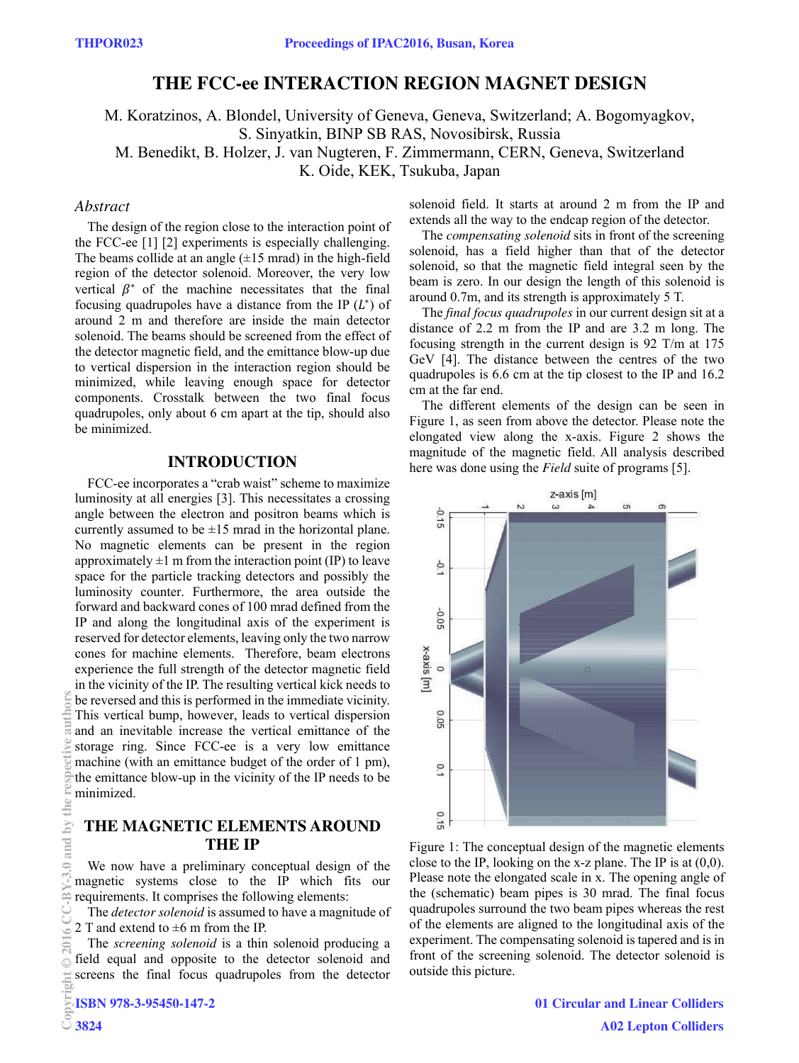# **THE FCC-ee INTERACTION REGION MAGNET DESIGN**

M. Koratzinos, A. Blondel, University of Geneva, Geneva, Switzerland; A. Bogomyagkov, S. Sinyatkin, BINP SB RAS, Novosibirsk, Russia M. Benedikt, B. Holzer, J. van Nugteren, F. Zimmermann, CERN, Geneva, Switzerland K. Oide, KEK, Tsukuba, Japan

### *Abstract*

The design of the region close to the interaction point of the FCC-ee [1] [2] experiments is especially challenging. The beams collide at an angle  $(\pm 15 \text{ mrad})$  in the high-field region of the detector solenoid. Moreover, the very low vertical  $\beta^*$  of the machine necessitates that the final focusing quadrupoles have a distance from the IP  $(L^*)$  of around 2 m and therefore are inside the main detector solenoid. The beams should be screened from the effect of the detector magnetic field, and the emittance blow-up due to vertical dispersion in the interaction region should be minimized, while leaving enough space for detector components. Crosstalk between the two final focus quadrupoles, only about 6 cm apart at the tip, should also be minimized.

### **INTRODUCTION**

FCC-ee incorporates a "crab waist" scheme to maximize luminosity at all energies [3]. This necessitates a crossing angle between the electron and positron beams which is currently assumed to be  $\pm 15$  mrad in the horizontal plane. No magnetic elements can be present in the region approximately  $\pm 1$  m from the interaction point (IP) to leave space for the particle tracking detectors and possibly the luminosity counter. Furthermore, the area outside the forward and backward cones of 100 mrad defined from the IP and along the longitudinal axis of the experiment is reserved for detector elements, leaving only the two narrow cones for machine elements. Therefore, beam electrons experience the full strength of the detector magnetic field in the vicinity of the IP. The resulting vertical kick needs to be reversed and this is performed in the immediate vicinity. This vertical bump, however, leads to vertical dispersion and an inevitable increase the vertical emittance of the storage ring. Since FCC-ee is a very low emittance machine (with an emittance budget of the order of 1 pm), the emittance blow-up in the vicinity of the IP needs to be minimized. Copyright Copyright Copyright Copyright Copyright Copyright Copyright Copyright Copyright Copyright Copyright Copyright Copyright Copyright Copyright Copyright Copyright Copyright Copyright Copyright Copyright Copyright C

### **THE MAGNETIC ELEMENTS AROUND THE IP**

We now have a preliminary conceptual design of the magnetic systems close to the IP which fits our requirements. It comprises the following elements:

The *detector solenoid* is assumed to have a magnitude of 2 T and extend to  $\pm 6$  m from the IP.

The *screening solenoid* is a thin solenoid producing a field equal and opposite to the detector solenoid and screens the final focus quadrupoles from the detector solenoid field. It starts at around 2 m from the IP and extends all the way to the endcap region of the detector.

The *compensating solenoid* sits in front of the screening solenoid, has a field higher than that of the detector solenoid, so that the magnetic field integral seen by the beam is zero. In our design the length of this solenoid is around 0.7m, and its strength is approximately 5 T.

The *final focus quadrupoles* in our current design sit at a distance of 2.2 m from the IP and are 3.2 m long. The focusing strength in the current design is 92 T/m at 175 GeV [4]. The distance between the centres of the two quadrupoles is 6.6 cm at the tip closest to the IP and 16.2 cm at the far end.

The different elements of the design can be seen in Figure 1, as seen from above the detector. Please note the elongated view along the x-axis. Figure 2 shows the magnitude of the magnetic field. All analysis described here was done using the *Field* suite of programs [5].



Figure 1: The conceptual design of the magnetic elements close to the IP, looking on the x-z plane. The IP is at  $(0,0)$ . Please note the elongated scale in x. The opening angle of the (schematic) beam pipes is 30 mrad. The final focus quadrupoles surround the two beam pipes whereas the rest of the elements are aligned to the longitudinal axis of the experiment. The compensating solenoid is tapered and is in front of the screening solenoid. The detector solenoid is outside this picture.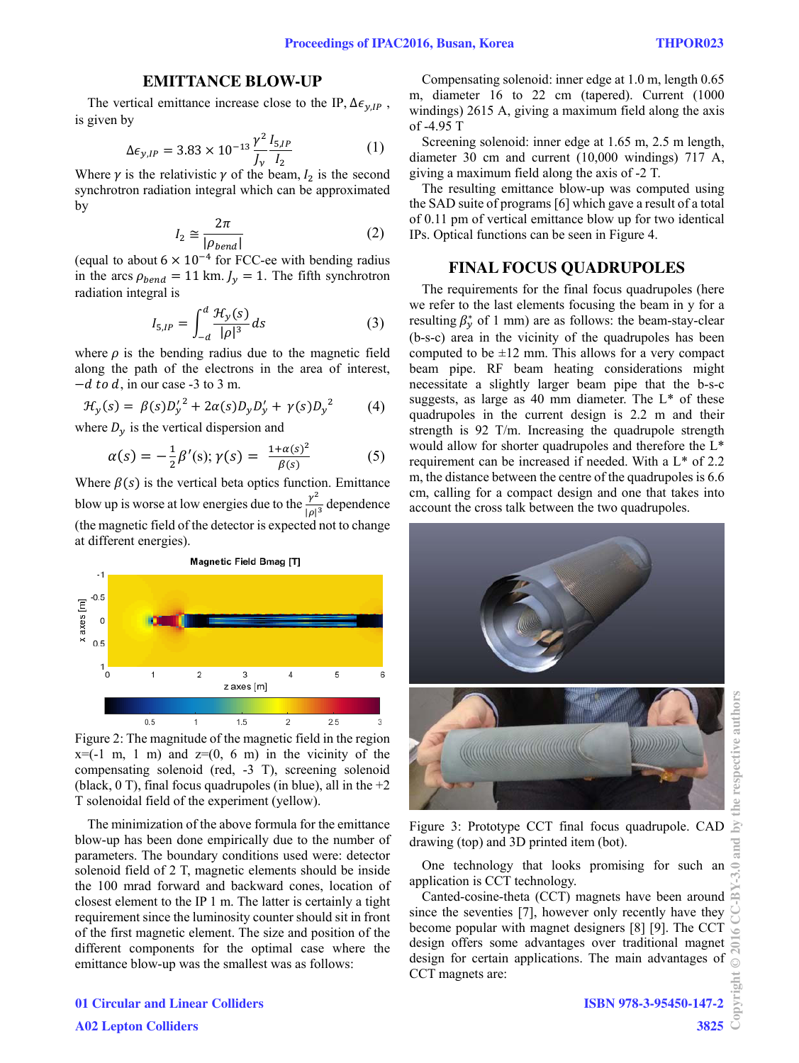### **EMITTANCE BLOW-UP**

The vertical emittance increase close to the IP,  $\Delta \epsilon_{\gamma, IP}$ , is given by

$$
\Delta \epsilon_{y,IP} = 3.83 \times 10^{-13} \frac{\gamma^2}{J_v} \frac{I_{5,IP}}{I_2}
$$
 (1)

Where  $\gamma$  is the relativistic  $\gamma$  of the beam,  $I_2$  is the second synchrotron radiation integral which can be approximated by

$$
I_2 \cong \frac{2\pi}{|\rho_{bend}|} \tag{2}
$$

(equal to about  $6 \times 10^{-4}$  for FCC-ee with bending radius in the arcs  $\rho_{bend} = 11$  km.  $J_v = 1$ . The fifth synchrotron radiation integral is

$$
I_{5,IP} = \int_{-d}^{d} \frac{\mathcal{H}_y(s)}{|\rho|^3} ds \tag{3}
$$

where  $\rho$  is the bending radius due to the magnetic field along the path of the electrons in the area of interest,  $-d$  to d, in our case -3 to 3 m.

$$
\mathcal{H}_y(s) = \beta(s) D_y^{\prime 2} + 2\alpha(s) D_y D_y^{\prime} + \gamma(s) D_y^2 \tag{4}
$$

where  $D_{\nu}$  is the vertical dispersion and

$$
\alpha(s) = -\frac{1}{2}\beta'(s); \gamma(s) = \frac{1 + \alpha(s)^2}{\beta(s)}
$$
(5)

Where  $\beta(s)$  is the vertical beta optics function. Emittance blow up is worse at low energies due to the  $\frac{v^2}{\vert v \vert}$  $\frac{r}{|\rho|^3}$  dependence (the magnetic field of the detector is expected not to change at different energies).



Figure 2: The magnitude of the magnetic field in the region  $x=(-1 \, \text{m}, 1 \, \text{m})$  and  $z=(0, 6 \, \text{m})$  in the vicinity of the compensating solenoid (red, -3 T), screening solenoid (black,  $0$  T), final focus quadrupoles (in blue), all in the  $+2$ T solenoidal field of the experiment (yellow).

The minimization of the above formula for the emittance blow-up has been done empirically due to the number of parameters. The boundary conditions used were: detector solenoid field of 2 T, magnetic elements should be inside the 100 mrad forward and backward cones, location of closest element to the IP 1 m. The latter is certainly a tight requirement since the luminosity counter should sit in front of the first magnetic element. The size and position of the different components for the optimal case where the emittance blow-up was the smallest was as follows:

Compensating solenoid: inner edge at 1.0 m, length 0.65 m, diameter 16 to 22 cm (tapered). Current (1000 windings) 2615 A, giving a maximum field along the axis of -4.95 T

Screening solenoid: inner edge at 1.65 m, 2.5 m length, diameter 30 cm and current (10,000 windings) 717 A, giving a maximum field along the axis of -2 T.

The resulting emittance blow-up was computed using the SAD suite of programs [6] which gave a result of a total of 0.11 pm of vertical emittance blow up for two identical IPs. Optical functions can be seen in Figure 4.

#### **FINAL FOCUS QUADRUPOLES**

The requirements for the final focus quadrupoles (here we refer to the last elements focusing the beam in y for a resulting  $\beta_{y}^{*}$  of 1 mm) are as follows: the beam-stay-clear (b-s-c) area in the vicinity of the quadrupoles has been computed to be  $\pm 12$  mm. This allows for a very compact beam pipe. RF beam heating considerations might necessitate a slightly larger beam pipe that the b-s-c suggests, as large as 40 mm diameter. The  $L^*$  of these quadrupoles in the current design is 2.2 m and their strength is 92 T/m. Increasing the quadrupole strength would allow for shorter quadrupoles and therefore the L\* requirement can be increased if needed. With a L\* of 2.2 m, the distance between the centre of the quadrupoles is 6.6 cm, calling for a compact design and one that takes into account the cross talk between the two quadrupoles.



Figure 3: Prototype CCT final focus quadrupole. CAD drawing (top) and 3D printed item (bot).

One technology that looks promising for such an application is CCT technology.

Canted-cosine-theta (CCT) magnets have been around since the seventies [7], however only recently have they become popular with magnet designers [8] [9]. The CCT design offers some advantages over traditional magnet design for certain applications. The main advantages of CCT magnets are:

## 01 Circular and Linear Colliders A02 Lepton Colliders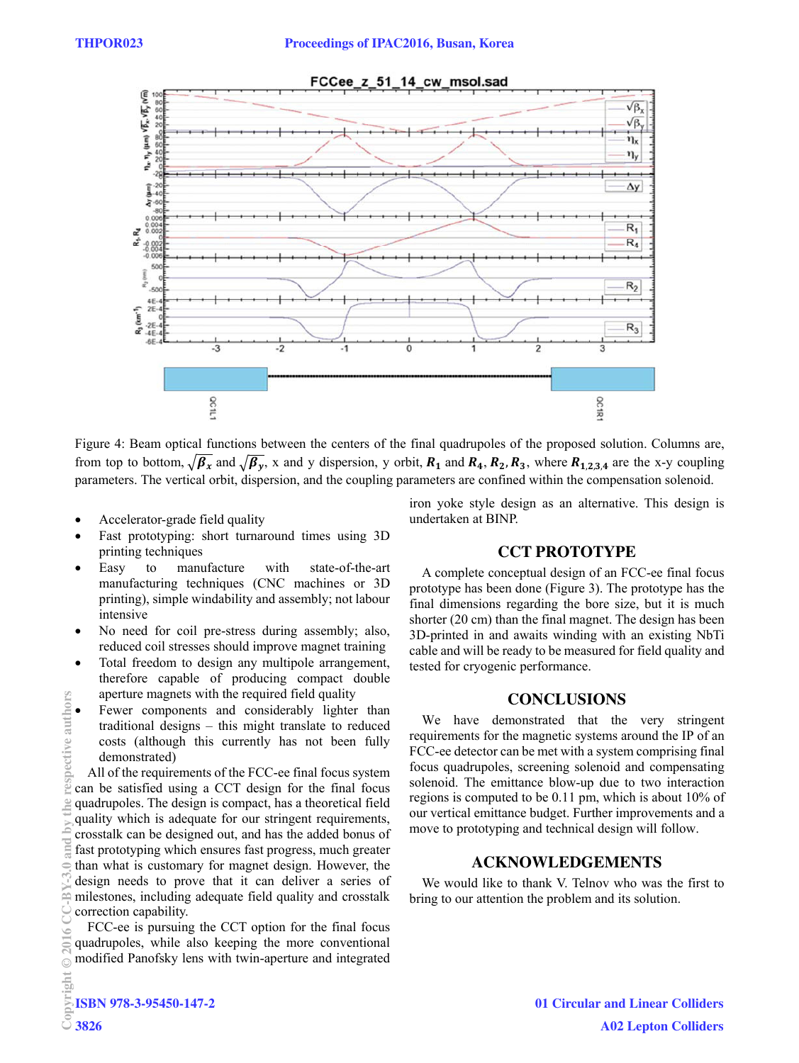

Figure 4: Beam optical functions between the centers of the final quadrupoles of the proposed solution. Columns are, from top to bottom,  $\sqrt{\beta_x}$  and  $\sqrt{\beta_y}$ , x and y dispersion, y orbit,  $R_1$  and  $R_4$ ,  $R_2$ ,  $R_3$ , where  $R_{1,2,3,4}$  are the x-y coupling parameters. The vertical orbit, dispersion, and the coupling parameters are confined within the compensation solenoid.

- Accelerator-grade field quality
- Fast prototyping: short turnaround times using 3D printing techniques
- Easy to manufacture with state-of-the-art manufacturing techniques (CNC machines or 3D printing), simple windability and assembly; not labour intensive
- No need for coil pre-stress during assembly; also, reduced coil stresses should improve magnet training
- Total freedom to design any multipole arrangement, therefore capable of producing compact double aperture magnets with the required field quality
- Fewer components and considerably lighter than traditional designs – this might translate to reduced costs (although this currently has not been fully demonstrated)

All of the requirements of the FCC-ee final focus system can be satisfied using a CCT design for the final focus quadrupoles. The design is compact, has a theoretical field quality which is adequate for our stringent requirements, crosstalk can be designed out, and has the added bonus of fast prototyping which ensures fast progress, much greater than what is customary for magnet design. However, the design needs to prove that it can deliver a series of milestones, including adequate field quality and crosstalk correction capability. Copyright Copyright Copyright Copyright Copyright Copyright Copyright Copyright Copyright Copyright Copyright Copyright Copyright Copyright Copyright Copyright Copyright Copyright Copyright Copyright Copyright Copyright C

FCC-ee is pursuing the CCT option for the final focus quadrupoles, while also keeping the more conventional modified Panofsky lens with twin-aperture and integrated iron yoke style design as an alternative. This design is undertaken at BINP.

### **CCT PROTOTYPE**

A complete conceptual design of an FCC-ee final focus prototype has been done (Figure 3). The prototype has the final dimensions regarding the bore size, but it is much shorter (20 cm) than the final magnet. The design has been 3D-printed in and awaits winding with an existing NbTi cable and will be ready to be measured for field quality and tested for cryogenic performance.

### **CONCLUSIONS**

We have demonstrated that the very stringent requirements for the magnetic systems around the IP of an FCC-ee detector can be met with a system comprising final focus quadrupoles, screening solenoid and compensating solenoid. The emittance blow-up due to two interaction regions is computed to be 0.11 pm, which is about 10% of our vertical emittance budget. Further improvements and a move to prototyping and technical design will follow.

## **ACKNOWLEDGEMENTS**

We would like to thank V. Telnov who was the first to bring to our attention the problem and its solution.